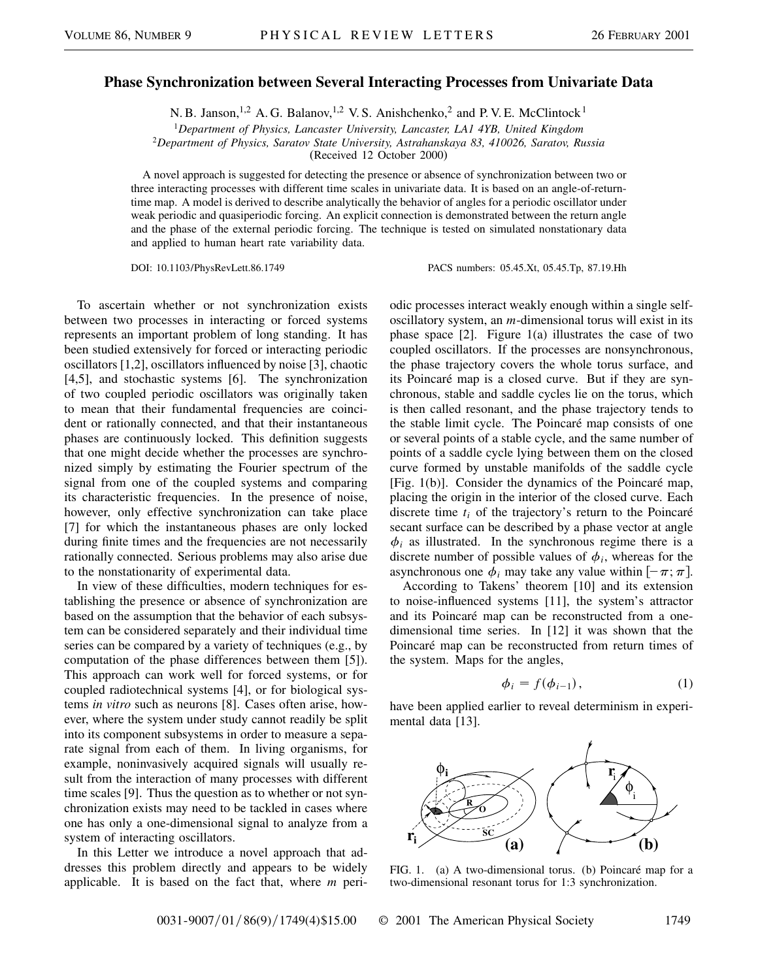## **Phase Synchronization between Several Interacting Processes from Univariate Data**

N. B. Janson,<sup>1,2</sup> A. G. Balanov,<sup>1,2</sup> V. S. Anishchenko,<sup>2</sup> and P. V. E. McClintock<sup>1</sup>

<sup>1</sup>*Department of Physics, Lancaster University, Lancaster, LA1 4YB, United Kingdom*

<sup>2</sup>*Department of Physics, Saratov State University, Astrahanskaya 83, 410026, Saratov, Russia*

(Received 12 October 2000)

A novel approach is suggested for detecting the presence or absence of synchronization between two or three interacting processes with different time scales in univariate data. It is based on an angle-of-returntime map. A model is derived to describe analytically the behavior of angles for a periodic oscillator under weak periodic and quasiperiodic forcing. An explicit connection is demonstrated between the return angle and the phase of the external periodic forcing. The technique is tested on simulated nonstationary data and applied to human heart rate variability data.

DOI: 10.1103/PhysRevLett.86.1749 PACS numbers: 05.45.Xt, 05.45.Tp, 87.19.Hh

To ascertain whether or not synchronization exists between two processes in interacting or forced systems represents an important problem of long standing. It has been studied extensively for forced or interacting periodic oscillators [1,2], oscillators influenced by noise [3], chaotic [4,5], and stochastic systems [6]. The synchronization of two coupled periodic oscillators was originally taken to mean that their fundamental frequencies are coincident or rationally connected, and that their instantaneous phases are continuously locked. This definition suggests that one might decide whether the processes are synchronized simply by estimating the Fourier spectrum of the signal from one of the coupled systems and comparing its characteristic frequencies. In the presence of noise, however, only effective synchronization can take place [7] for which the instantaneous phases are only locked during finite times and the frequencies are not necessarily rationally connected. Serious problems may also arise due to the nonstationarity of experimental data.

In view of these difficulties, modern techniques for establishing the presence or absence of synchronization are based on the assumption that the behavior of each subsystem can be considered separately and their individual time series can be compared by a variety of techniques (e.g., by computation of the phase differences between them [5]). This approach can work well for forced systems, or for coupled radiotechnical systems [4], or for biological systems *in vitro* such as neurons [8]. Cases often arise, however, where the system under study cannot readily be split into its component subsystems in order to measure a separate signal from each of them. In living organisms, for example, noninvasively acquired signals will usually result from the interaction of many processes with different time scales [9]. Thus the question as to whether or not synchronization exists may need to be tackled in cases where one has only a one-dimensional signal to analyze from a system of interacting oscillators.

In this Letter we introduce a novel approach that addresses this problem directly and appears to be widely applicable. It is based on the fact that, where *m* periodic processes interact weakly enough within a single selfoscillatory system, an *m*-dimensional torus will exist in its phase space [2]. Figure 1(a) illustrates the case of two coupled oscillators. If the processes are nonsynchronous, the phase trajectory covers the whole torus surface, and its Poincaré map is a closed curve. But if they are synchronous, stable and saddle cycles lie on the torus, which is then called resonant, and the phase trajectory tends to the stable limit cycle. The Poincaré map consists of one or several points of a stable cycle, and the same number of points of a saddle cycle lying between them on the closed curve formed by unstable manifolds of the saddle cycle [Fig. 1(b)]. Consider the dynamics of the Poincaré map, placing the origin in the interior of the closed curve. Each discrete time *ti* of the trajectory's return to the Poincaré secant surface can be described by a phase vector at angle  $\phi_i$  as illustrated. In the synchronous regime there is a discrete number of possible values of  $\phi_i$ , whereas for the asynchronous one  $\phi_i$  may take any value within  $[-\pi; \pi]$ .

According to Takens' theorem [10] and its extension to noise-influenced systems [11], the system's attractor and its Poincaré map can be reconstructed from a onedimensional time series. In [12] it was shown that the Poincaré map can be reconstructed from return times of the system. Maps for the angles,

$$
\phi_i = f(\phi_{i-1}),\tag{1}
$$

have been applied earlier to reveal determinism in experimental data [13].



FIG. 1. (a) A two-dimensional torus. (b) Poincaré map for a two-dimensional resonant torus for 1:3 synchronization.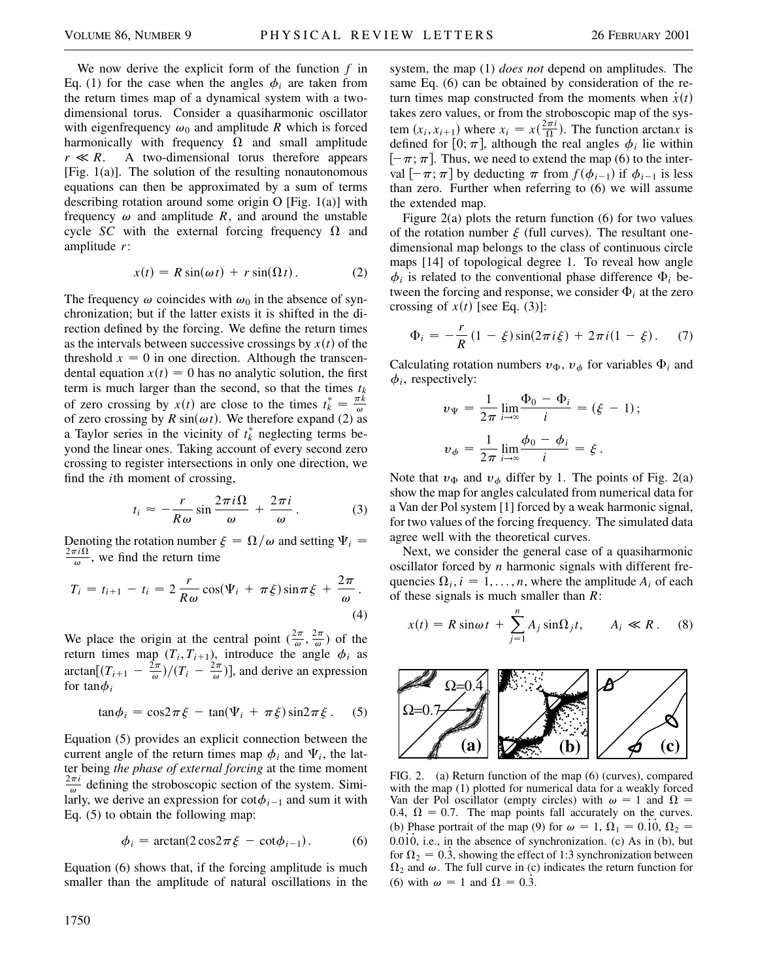We now derive the explicit form of the function *f* in Eq. (1) for the case when the angles  $\phi_i$  are taken from the return times map of a dynamical system with a twodimensional torus. Consider a quasiharmonic oscillator with eigenfrequency  $\omega_0$  and amplitude *R* which is forced harmonically with frequency  $\Omega$  and small amplitude  $r \ll R$ . A two-dimensional torus therefore appears [Fig.  $1(a)$ ]. The solution of the resulting nonautonomous equations can then be approximated by a sum of terms describing rotation around some origin O [Fig. 1(a)] with frequency  $\omega$  and amplitude *R*, and around the unstable cycle *SC* with the external forcing frequency  $\Omega$  and amplitude *r*:

$$
x(t) = R\sin(\omega t) + r\sin(\Omega t). \tag{2}
$$

The frequency  $\omega$  coincides with  $\omega_0$  in the absence of synchronization; but if the latter exists it is shifted in the direction defined by the forcing. We define the return times as the intervals between successive crossings by  $x(t)$  of the threshold  $x = 0$  in one direction. Although the transcendental equation  $x(t) = 0$  has no analytic solution, the first term is much larger than the second, so that the times  $t_k$ of zero crossing by  $x(t)$  are close to the times  $t_k^* = \frac{\pi k}{\omega}$ of zero crossing by  $R \sin(\omega t)$ . We therefore expand (2) as a Taylor series in the vicinity of  $t_k^*$  neglecting terms beyond the linear ones. Taking account of every second zero crossing to register intersections in only one direction, we find the *i*th moment of crossing,

$$
t_i \approx -\frac{r}{R\omega}\sin\frac{2\pi i\Omega}{\omega} + \frac{2\pi i}{\omega}.
$$
 (3)

Denoting the rotation number  $\xi = \Omega/\omega$  and setting  $\Psi_i =$  $rac{2\pi i \Omega}{\omega}$ , we find the return time

$$
T_i = t_{i+1} - t_i = 2 \frac{r}{R\omega} \cos(\Psi_i + \pi \xi) \sin \pi \xi + \frac{2\pi}{\omega}.
$$
\n(4)

We place the origin at the central point  $(\frac{2\pi}{\omega}, \frac{2\pi}{\omega})$  of the return times map  $(T_i, T_{i+1})$ , introduce the angle  $\phi_i$  as arctan $[(T_{i+1} - \frac{2\pi}{\omega})/(T_i - \frac{2\pi}{\omega})]$ , and derive an expression for  $tan \phi_i$ 

$$
\tan \phi_i = \cos 2\pi \xi - \tan (\Psi_i + \pi \xi) \sin 2\pi \xi. \quad (5)
$$

Equation (5) provides an explicit connection between the current angle of the return times map  $\phi_i$  and  $\Psi_i$ , the latter being *the phase of external forcing* at the time moment  $\frac{2\pi i}{\omega}$  defining the stroboscopic section of the system. Similarly, we derive an expression for  $\cot \phi_{i-1}$  and sum it with Eq. (5) to obtain the following map:

$$
\phi_i = \arctan(2\cos 2\pi \xi - \cot \phi_{i-1}).\tag{6}
$$

Equation (6) shows that, if the forcing amplitude is much smaller than the amplitude of natural oscillations in the system, the map (1) *does not* depend on amplitudes. The same Eq. (6) can be obtained by consideration of the return times map constructed from the moments when  $\dot{x}(t)$ takes zero values, or from the stroboscopic map of the system  $(x_i, x_{i+1})$  where  $x_i = x\left(\frac{2\pi i}{\Omega}\right)$ . The function arctanx is defined for  $[0; \pi]$ , although the real angles  $\phi_i$  lie within  $[-\pi; \pi]$ . Thus, we need to extend the map (6) to the interval  $[-\pi; \pi]$  by deducting  $\pi$  from  $f(\phi_{i-1})$  if  $\phi_{i-1}$  is less than zero. Further when referring to (6) we will assume the extended map.

Figure 2(a) plots the return function  $(6)$  for two values of the rotation number  $\xi$  (full curves). The resultant onedimensional map belongs to the class of continuous circle maps [14] of topological degree 1. To reveal how angle  $\phi_i$  is related to the conventional phase difference  $\Phi_i$  between the forcing and response, we consider  $\Phi_i$  at the zero crossing of  $x(t)$  [see Eq. (3)]:

$$
\Phi_i = -\frac{r}{R} (1 - \xi) \sin(2\pi i \xi) + 2\pi i (1 - \xi). \tag{7}
$$

Calculating rotation numbers  $v_{\Phi}$ ,  $v_{\phi}$  for variables  $\Phi_i$  and  $\phi_i$ , respectively:

$$
v_{\Psi} = \frac{1}{2\pi} \lim_{i \to \infty} \frac{\Phi_0 - \Phi_i}{i} = (\xi - 1);
$$

$$
v_{\phi} = \frac{1}{2\pi} \lim_{i \to \infty} \frac{\phi_0 - \phi_i}{i} = \xi.
$$

Note that  $v_{\Phi}$  and  $v_{\phi}$  differ by 1. The points of Fig. 2(a) show the map for angles calculated from numerical data for a Van der Pol system [1] forced by a weak harmonic signal, for two values of the forcing frequency. The simulated data agree well with the theoretical curves.

Next, we consider the general case of a quasiharmonic oscillator forced by *n* harmonic signals with different frequencies  $\Omega_i$ ,  $i = 1, \ldots, n$ , where the amplitude  $A_i$  of each of these signals is much smaller than *R*:

$$
x(t) = R \sin \omega t + \sum_{j=1}^{n} A_j \sin \Omega_j t, \qquad A_i \ll R. \tag{8}
$$



FIG. 2. (a) Return function of the map (6) (curves), compared with the map (1) plotted for numerical data for a weakly forced Van der Pol oscillator (empty circles) with  $\omega = 1$  and  $\Omega =$ 0.4,  $\Omega = 0.7$ . The map points fall accurately on the curves. (b) Phase portrait of the map (9) for  $\omega = 1$ ,  $\Omega_1 = 0.10$ ,  $\Omega_2 =$  $0.010$ , i.e., in the absence of synchronization. (c) As in (b), but for  $\Omega_2 = 0.\overline{3}$ , showing the effect of 1:3 synchronization between  $\Omega_2$  and  $\omega$ . The full curve in (c) indicates the return function for (6) with  $\omega = 1$  and  $\Omega = 0.\overline{3}$ .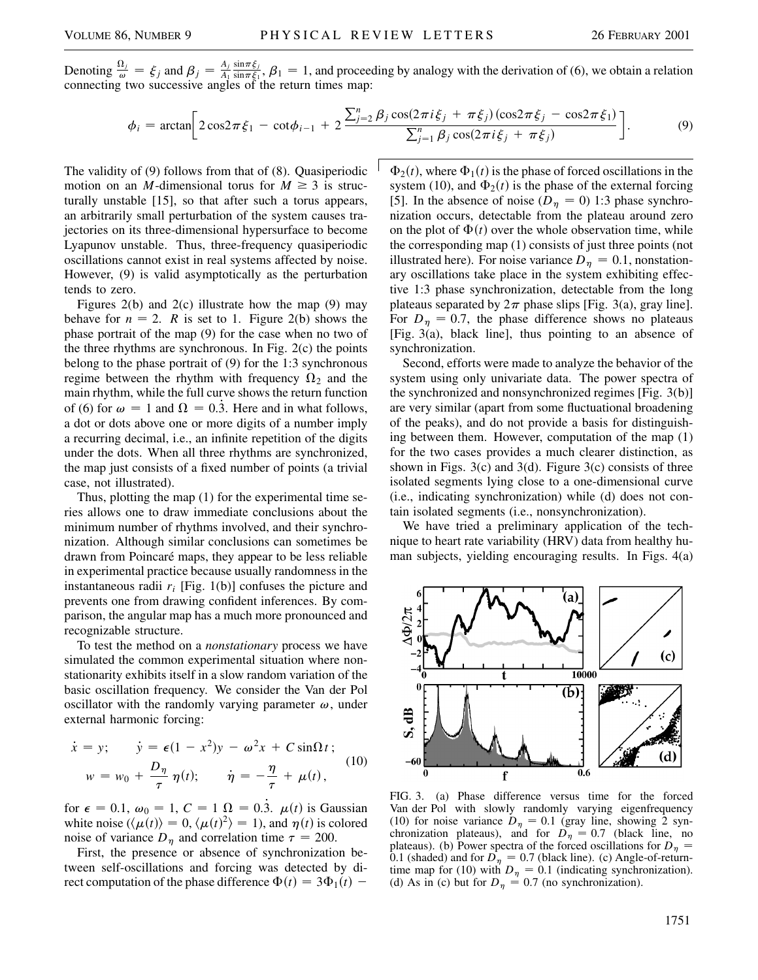Denoting  $\frac{\Omega_j}{\omega} = \xi_j$  and  $\beta_j = \frac{A_j}{A_1}$  $\frac{\sin\pi\xi_j}{\sin\pi\xi_1}$ ,  $\beta_1 = 1$ , and proceeding by analogy with the derivation of (6), we obtain a relation connecting two successive angles of the return times map:

$$
\phi_i = \arctan\bigg[2\cos 2\pi \xi_1 - \cot \phi_{i-1} + 2\frac{\sum_{j=2}^n \beta_j \cos(2\pi i \xi_j + \pi \xi_j)(\cos 2\pi \xi_j - \cos 2\pi \xi_1)}{\sum_{j=1}^n \beta_j \cos(2\pi i \xi_j + \pi \xi_j)}\bigg].
$$
\n(9)

The validity of (9) follows from that of (8). Quasiperiodic motion on an *M*-dimensional torus for  $M \geq 3$  is structurally unstable [15], so that after such a torus appears, an arbitrarily small perturbation of the system causes trajectories on its three-dimensional hypersurface to become Lyapunov unstable. Thus, three-frequency quasiperiodic oscillations cannot exist in real systems affected by noise. However, (9) is valid asymptotically as the perturbation tends to zero.

Figures  $2(b)$  and  $2(c)$  illustrate how the map  $(9)$  may behave for  $n = 2$ . *R* is set to 1. Figure 2(b) shows the phase portrait of the map (9) for the case when no two of the three rhythms are synchronous. In Fig. 2(c) the points belong to the phase portrait of (9) for the 1:3 synchronous regime between the rhythm with frequency  $\Omega_2$  and the main rhythm, while the full curve shows the return function of (6) for  $\omega = 1$  and  $\Omega = 0.\overline{3}$ . Here and in what follows, a dot or dots above one or more digits of a number imply a recurring decimal, i.e., an infinite repetition of the digits under the dots. When all three rhythms are synchronized, the map just consists of a fixed number of points (a trivial case, not illustrated).

Thus, plotting the map (1) for the experimental time series allows one to draw immediate conclusions about the minimum number of rhythms involved, and their synchronization. Although similar conclusions can sometimes be drawn from Poincaré maps, they appear to be less reliable in experimental practice because usually randomness in the instantaneous radii  $r_i$  [Fig. 1(b)] confuses the picture and prevents one from drawing confident inferences. By comparison, the angular map has a much more pronounced and recognizable structure.

To test the method on a *nonstationary* process we have simulated the common experimental situation where nonstationarity exhibits itself in a slow random variation of the basic oscillation frequency. We consider the Van der Pol oscillator with the randomly varying parameter  $\omega$ , under external harmonic forcing:

$$
\dot{x} = y; \qquad \dot{y} = \epsilon (1 - x^2)y - \omega^2 x + C \sin \Omega t; \n w = w_0 + \frac{D_\eta}{\tau} \eta(t); \qquad \dot{\eta} = -\frac{\eta}{\tau} + \mu(t),
$$
\n(10)

for  $\epsilon = 0.1$ ,  $\omega_0 = 1$ ,  $C = 1$   $\Omega = 0.\overline{3}$ .  $\mu(t)$  is Gaussian white noise  $(\langle \mu(t) \rangle = 0, \langle \mu(t)^2 \rangle = 1)$ , and  $\eta(t)$  is colored noise of variance  $D_n$  and correlation time  $\tau = 200$ .

First, the presence or absence of synchronization between self-oscillations and forcing was detected by direct computation of the phase difference  $\Phi(t) = 3\Phi_1(t)$  –  $\Phi_2(t)$ , where  $\Phi_1(t)$  is the phase of forced oscillations in the system (10), and  $\Phi_2(t)$  is the phase of the external forcing [5]. In the absence of noise ( $D_n = 0$ ) 1:3 phase synchronization occurs, detectable from the plateau around zero on the plot of  $\Phi(t)$  over the whole observation time, while the corresponding map (1) consists of just three points (not illustrated here). For noise variance  $D_n = 0.1$ , nonstationary oscillations take place in the system exhibiting effective 1:3 phase synchronization, detectable from the long plateaus separated by  $2\pi$  phase slips [Fig. 3(a), gray line]. For  $D_n = 0.7$ , the phase difference shows no plateaus [Fig. 3(a), black line], thus pointing to an absence of synchronization.

Second, efforts were made to analyze the behavior of the system using only univariate data. The power spectra of the synchronized and nonsynchronized regimes [Fig. 3(b)] are very similar (apart from some fluctuational broadening of the peaks), and do not provide a basis for distinguishing between them. However, computation of the map (1) for the two cases provides a much clearer distinction, as shown in Figs.  $3(c)$  and  $3(d)$ . Figure  $3(c)$  consists of three isolated segments lying close to a one-dimensional curve (i.e., indicating synchronization) while (d) does not contain isolated segments (i.e., nonsynchronization).

We have tried a preliminary application of the technique to heart rate variability (HRV) data from healthy human subjects, yielding encouraging results. In Figs. 4(a)



FIG. 3. (a) Phase difference versus time for the forced Van der Pol with slowly randomly varying eigenfrequency (10) for noise variance  $D_n = 0.1$  (gray line, showing 2 synchronization plateaus), and for  $D_{\eta} = 0.7$  (black line, no plateaus). (b) Power spectra of the forced oscillations for  $D_n =$ 0.1 (shaded) and for  $D_n = 0.7$  (black line). (c) Angle-of-returntime map for (10) with  $D_{\eta} = 0.1$  (indicating synchronization). (d) As in (c) but for  $D_n = 0.7$  (no synchronization).